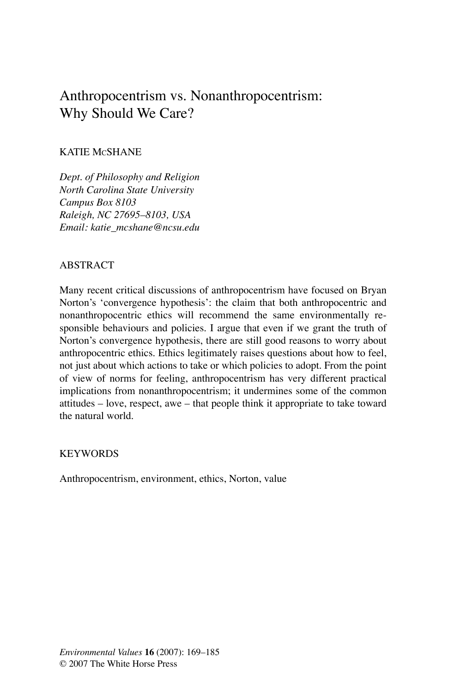# Anthropocentrism vs. Nonanthropocentrism: Why Should We Care?

# KATIE MCSHANE

*Dept. of Philosophy and Religion North Carolina State University Campus Box 8103 Raleigh, NC 27695–8103, USA Email: katie\_mcshane@ncsu.edu*

## ABSTRACT

Many recent critical discussions of anthropocentrism have focused on Bryan Norton's ʻconvergence hypothesis': the claim that both anthropocentric and nonanthropocentric ethics will recommend the same environmentally responsible behaviours and policies. I argue that even if we grant the truth of Norton's convergence hypothesis, there are still good reasons to worry about anthropocentric ethics. Ethics legitimately raises questions about how to feel, not just about which actions to take or which policies to adopt. From the point of view of norms for feeling, anthropocentrism has very different practical implications from nonanthropocentrism; it undermines some of the common attitudes – love, respect, awe – that people think it appropriate to take toward the natural world.

## **KEYWORDS**

Anthropocentrism, environment, ethics, Norton, value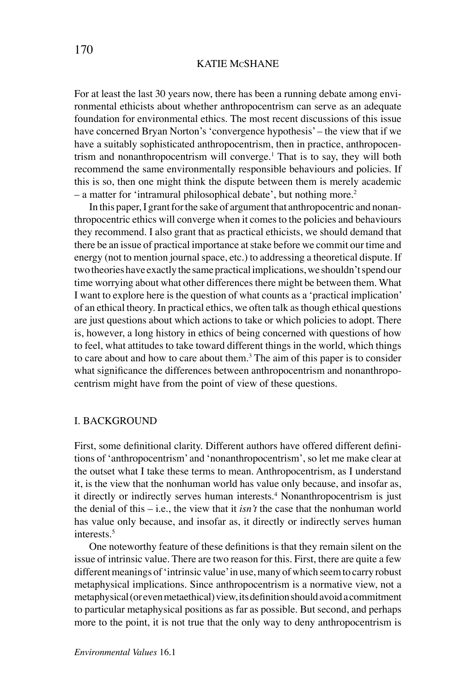For at least the last 30 years now, there has been a running debate among environmental ethicists about whether anthropocentrism can serve as an adequate foundation for environmental ethics. The most recent discussions of this issue have concerned Bryan Norton's ʻconvergence hypothesis' – the view that if we have a suitably sophisticated anthropocentrism, then in practice, anthropocentrism and nonanthropocentrism will converge.1 That is to say, they will both recommend the same environmentally responsible behaviours and policies. If this is so, then one might think the dispute between them is merely academic – a matter for ʻintramural philosophical debate', but nothing more.2

In this paper, I grant for the sake of argument that anthropocentric and nonanthropocentric ethics will converge when it comes to the policies and behaviours they recommend. I also grant that as practical ethicists, we should demand that there be an issue of practical importance at stake before we commit our time and energy (not to mention journal space, etc.) to addressing a theoretical dispute. If two theories have exactly the same practical implications, we shouldn't spend our time worrying about what other differences there might be between them. What I want to explore here is the question of what counts as a ʻpractical implication' of an ethical theory. In practical ethics, we often talk as though ethical questions are just questions about which actions to take or which policies to adopt. There is, however, a long history in ethics of being concerned with questions of how to feel, what attitudes to take toward different things in the world, which things to care about and how to care about them.<sup>3</sup> The aim of this paper is to consider what significance the differences between anthropocentrism and nonanthropocentrism might have from the point of view of these questions.

#### I. BACKGROUND

First, some definitional clarity. Different authors have offered different definitions of ʻanthropocentrism' and ʻnonanthropocentrism', so let me make clear at the outset what I take these terms to mean. Anthropocentrism, as I understand it, is the view that the nonhuman world has value only because, and insofar as, it directly or indirectly serves human interests.4 Nonanthropocentrism is just the denial of this – i.e., the view that it *isn't* the case that the nonhuman world has value only because, and insofar as, it directly or indirectly serves human interests<sup>5</sup>

One noteworthy feature of these definitions is that they remain silent on the issue of intrinsic value. There are two reason for this. First, there are quite a few different meanings of ʻintrinsic value' in use, many of which seem to carry robust metaphysical implications. Since anthropocentrism is a normative view, not a metaphysical (or even metaethical) view, its definition should avoid a commitment to particular metaphysical positions as far as possible. But second, and perhaps more to the point, it is not true that the only way to deny anthropocentrism is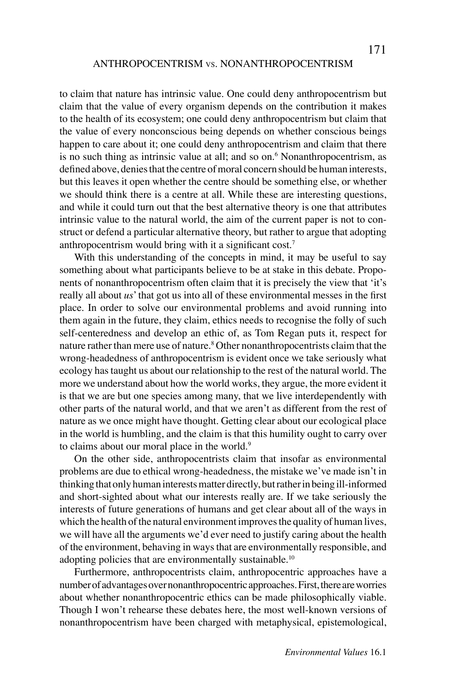to claim that nature has intrinsic value. One could deny anthropocentrism but claim that the value of every organism depends on the contribution it makes to the health of its ecosystem; one could deny anthropocentrism but claim that the value of every nonconscious being depends on whether conscious beings happen to care about it; one could deny anthropocentrism and claim that there is no such thing as intrinsic value at all; and so on.<sup>6</sup> Nonanthropocentrism, as defined above, denies that the centre of moral concern should be human interests, but this leaves it open whether the centre should be something else, or whether we should think there is a centre at all. While these are interesting questions, and while it could turn out that the best alternative theory is one that attributes intrinsic value to the natural world, the aim of the current paper is not to construct or defend a particular alternative theory, but rather to argue that adopting anthropocentrism would bring with it a significant cost.7

With this understanding of the concepts in mind, it may be useful to say something about what participants believe to be at stake in this debate. Proponents of nonanthropocentrism often claim that it is precisely the view that ʻit's really all about *us*' that got us into all of these environmental messes in the first place. In order to solve our environmental problems and avoid running into them again in the future, they claim, ethics needs to recognise the folly of such self-centeredness and develop an ethic of, as Tom Regan puts it, respect for nature rather than mere use of nature.8 Other nonanthropocentrists claim that the wrong-headedness of anthropocentrism is evident once we take seriously what ecology has taught us about our relationship to the rest of the natural world. The more we understand about how the world works, they argue, the more evident it is that we are but one species among many, that we live interdependently with other parts of the natural world, and that we aren't as different from the rest of nature as we once might have thought. Getting clear about our ecological place in the world is humbling, and the claim is that this humility ought to carry over to claims about our moral place in the world.<sup>9</sup>

On the other side, anthropocentrists claim that insofar as environmental problems are due to ethical wrong-headedness, the mistake we've made isn't in thinking that only human interests matter directly, but rather in being ill-informed and short-sighted about what our interests really are. If we take seriously the interests of future generations of humans and get clear about all of the ways in which the health of the natural environment improves the quality of human lives, we will have all the arguments we'd ever need to justify caring about the health of the environment, behaving in ways that are environmentally responsible, and adopting policies that are environmentally sustainable.10

Furthermore, anthropocentrists claim, anthropocentric approaches have a number of advantages over nonanthropocentric approaches. First, there are worries about whether nonanthropocentric ethics can be made philosophically viable. Though I won't rehearse these debates here, the most well-known versions of nonanthropocentrism have been charged with metaphysical, epistemological,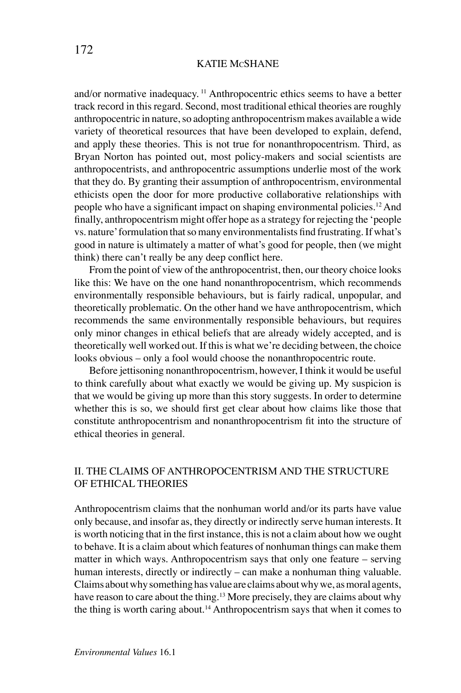and/or normative inadequacy. 11 Anthropocentric ethics seems to have a better track record in this regard. Second, most traditional ethical theories are roughly anthropocentric in nature, so adopting anthropocentrism makes available a wide variety of theoretical resources that have been developed to explain, defend, and apply these theories. This is not true for nonanthropocentrism. Third, as Bryan Norton has pointed out, most policy-makers and social scientists are anthropocentrists, and anthropocentric assumptions underlie most of the work that they do. By granting their assumption of anthropocentrism, environmental ethicists open the door for more productive collaborative relationships with people who have a significant impact on shaping environmental policies.<sup>12</sup> And finally, anthropocentrism might offer hope as a strategy for rejecting the ʻpeople vs. nature' formulation that so many environmentalists find frustrating. If what's good in nature is ultimately a matter of what's good for people, then (we might think) there can't really be any deep conflict here.

From the point of view of the anthropocentrist, then, our theory choice looks like this: We have on the one hand nonanthropocentrism, which recommends environmentally responsible behaviours, but is fairly radical, unpopular, and theoretically problematic. On the other hand we have anthropocentrism, which recommends the same environmentally responsible behaviours, but requires only minor changes in ethical beliefs that are already widely accepted, and is theoretically well worked out. If this is what we're deciding between, the choice looks obvious – only a fool would choose the nonanthropocentric route.

Before jettisoning nonanthropocentrism, however, I think it would be useful to think carefully about what exactly we would be giving up. My suspicion is that we would be giving up more than this story suggests. In order to determine whether this is so, we should first get clear about how claims like those that constitute anthropocentrism and nonanthropocentrism fit into the structure of ethical theories in general.

# II. THE CLAIMS OF ANTHROPOCENTRISM AND THE STRUCTURE OF ETHICAL THEORIES

Anthropocentrism claims that the nonhuman world and/or its parts have value only because, and insofar as, they directly or indirectly serve human interests. It is worth noticing that in the first instance, this is not a claim about how we ought to behave. It is a claim about which features of nonhuman things can make them matter in which ways. Anthropocentrism says that only one feature – serving human interests, directly or indirectly – can make a nonhuman thing valuable. Claims about why something has value are claims about why we, as moral agents, have reason to care about the thing.<sup>13</sup> More precisely, they are claims about why the thing is worth caring about.14 Anthropocentrism says that when it comes to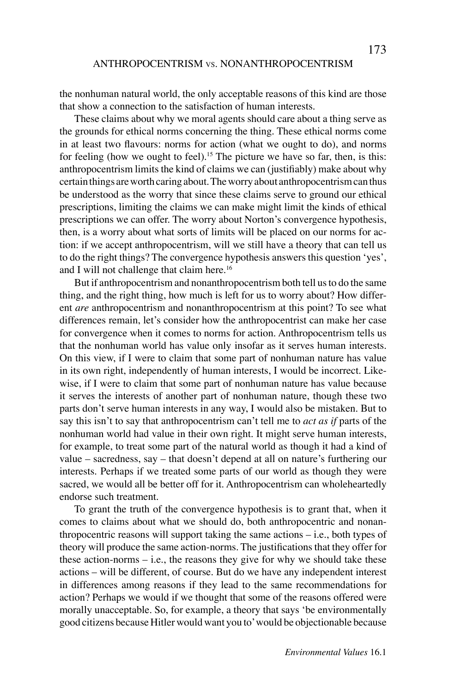the nonhuman natural world, the only acceptable reasons of this kind are those that show a connection to the satisfaction of human interests.

These claims about why we moral agents should care about a thing serve as the grounds for ethical norms concerning the thing. These ethical norms come in at least two flavours: norms for action (what we ought to do), and norms for feeling (how we ought to feel).<sup>15</sup> The picture we have so far, then, is this: anthropocentrism limits the kind of claims we can (justifiably) make about why certain things are worth caring about. The worry about anthropocentrism can thus be understood as the worry that since these claims serve to ground our ethical prescriptions, limiting the claims we can make might limit the kinds of ethical prescriptions we can offer. The worry about Norton's convergence hypothesis, then, is a worry about what sorts of limits will be placed on our norms for action: if we accept anthropocentrism, will we still have a theory that can tell us to do the right things? The convergence hypothesis answers this question ʻyes', and I will not challenge that claim here.<sup>16</sup>

But if anthropocentrism and nonanthropocentrism both tell us to do the same thing, and the right thing, how much is left for us to worry about? How different *are* anthropocentrism and nonanthropocentrism at this point? To see what differences remain, let's consider how the anthropocentrist can make her case for convergence when it comes to norms for action. Anthropocentrism tells us that the nonhuman world has value only insofar as it serves human interests. On this view, if I were to claim that some part of nonhuman nature has value in its own right, independently of human interests, I would be incorrect. Likewise, if I were to claim that some part of nonhuman nature has value because it serves the interests of another part of nonhuman nature, though these two parts don't serve human interests in any way, I would also be mistaken. But to say this isn't to say that anthropocentrism can't tell me to *act as if* parts of the nonhuman world had value in their own right. It might serve human interests, for example, to treat some part of the natural world as though it had a kind of value – sacredness, say – that doesn't depend at all on nature's furthering our interests. Perhaps if we treated some parts of our world as though they were sacred, we would all be better off for it. Anthropocentrism can wholeheartedly endorse such treatment.

To grant the truth of the convergence hypothesis is to grant that, when it comes to claims about what we should do, both anthropocentric and nonanthropocentric reasons will support taking the same actions – i.e., both types of theory will produce the same action-norms. The justifications that they offer for these action-norms  $-$  i.e., the reasons they give for why we should take these actions – will be different, of course. But do we have any independent interest in differences among reasons if they lead to the same recommendations for action? Perhaps we would if we thought that some of the reasons offered were morally unacceptable. So, for example, a theory that says ʻbe environmentally good citizens because Hitler would want you to' would be objectionable because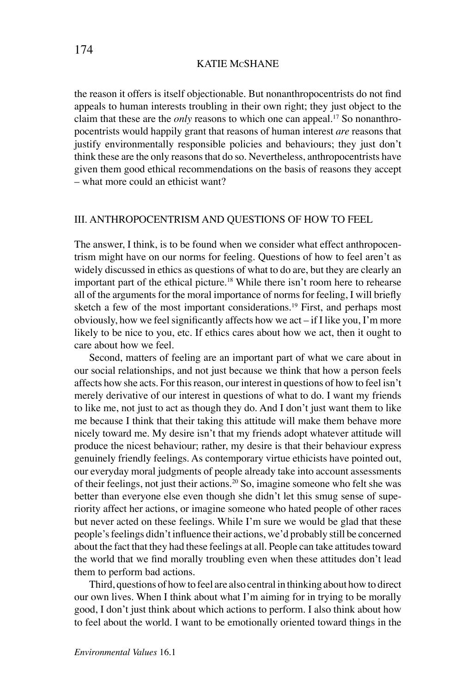the reason it offers is itself objectionable. But nonanthropocentrists do not find appeals to human interests troubling in their own right; they just object to the claim that these are the *only* reasons to which one can appeal.<sup>17</sup> So nonanthropocentrists would happily grant that reasons of human interest *are* reasons that justify environmentally responsible policies and behaviours; they just don't think these are the only reasons that do so. Nevertheless, anthropocentrists have given them good ethical recommendations on the basis of reasons they accept – what more could an ethicist want?

## III. ANTHROPOCENTRISM AND QUESTIONS OF HOW TO FEEL

The answer, I think, is to be found when we consider what effect anthropocentrism might have on our norms for feeling. Questions of how to feel aren't as widely discussed in ethics as questions of what to do are, but they are clearly an important part of the ethical picture.18 While there isn't room here to rehearse all of the arguments for the moral importance of norms for feeling, I will briefly sketch a few of the most important considerations.<sup>19</sup> First, and perhaps most obviously, how we feel significantly affects how we act – if I like you, I'm more likely to be nice to you, etc. If ethics cares about how we act, then it ought to care about how we feel.

Second, matters of feeling are an important part of what we care about in our social relationships, and not just because we think that how a person feels affects how she acts. For this reason, our interest in questions of how to feel isn't merely derivative of our interest in questions of what to do. I want my friends to like me, not just to act as though they do. And I don't just want them to like me because I think that their taking this attitude will make them behave more nicely toward me. My desire isn't that my friends adopt whatever attitude will produce the nicest behaviour; rather, my desire is that their behaviour express genuinely friendly feelings. As contemporary virtue ethicists have pointed out, our everyday moral judgments of people already take into account assessments of their feelings, not just their actions.20 So, imagine someone who felt she was better than everyone else even though she didn't let this smug sense of superiority affect her actions, or imagine someone who hated people of other races but never acted on these feelings. While I'm sure we would be glad that these people's feelings didn't influence their actions, we'd probably still be concerned about the fact that they had these feelings at all. People can take attitudes toward the world that we find morally troubling even when these attitudes don't lead them to perform bad actions.

Third, questions of how to feel are also central in thinking about how to direct our own lives. When I think about what I'm aiming for in trying to be morally good, I don't just think about which actions to perform. I also think about how to feel about the world. I want to be emotionally oriented toward things in the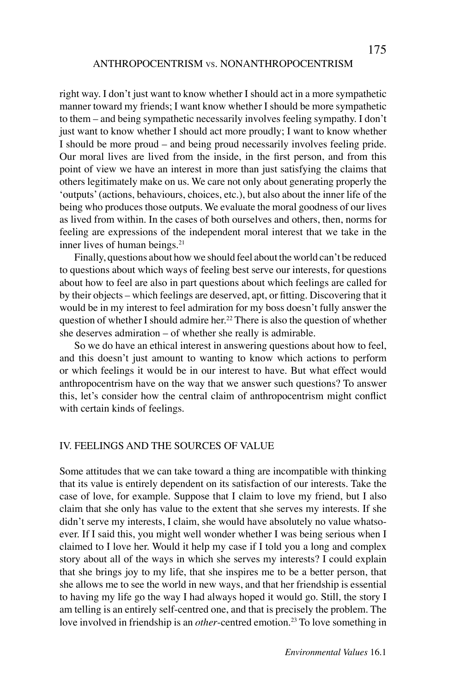right way. I don't just want to know whether I should act in a more sympathetic manner toward my friends; I want know whether I should be more sympathetic to them – and being sympathetic necessarily involves feeling sympathy. I don't just want to know whether I should act more proudly: I want to know whether I should be more proud – and being proud necessarily involves feeling pride. Our moral lives are lived from the inside, in the first person, and from this point of view we have an interest in more than just satisfying the claims that others legitimately make on us. We care not only about generating properly the ʻoutputs' (actions, behaviours, choices, etc.), but also about the inner life of the being who produces those outputs. We evaluate the moral goodness of our lives as lived from within. In the cases of both ourselves and others, then, norms for feeling are expressions of the independent moral interest that we take in the inner lives of human beings.<sup>21</sup>

Finally, questions about how we should feel about the world can't be reduced to questions about which ways of feeling best serve our interests, for questions about how to feel are also in part questions about which feelings are called for by their objects – which feelings are deserved, apt, or fitting. Discovering that it would be in my interest to feel admiration for my boss doesn't fully answer the question of whether I should admire her.<sup>22</sup> There is also the question of whether she deserves admiration – of whether she really is admirable.

So we do have an ethical interest in answering questions about how to feel, and this doesn't just amount to wanting to know which actions to perform or which feelings it would be in our interest to have. But what effect would anthropocentrism have on the way that we answer such questions? To answer this, let's consider how the central claim of anthropocentrism might conflict with certain kinds of feelings.

## IV. FEELINGS AND THE SOURCES OF VALUE

Some attitudes that we can take toward a thing are incompatible with thinking that its value is entirely dependent on its satisfaction of our interests. Take the case of love, for example. Suppose that I claim to love my friend, but I also claim that she only has value to the extent that she serves my interests. If she didn't serve my interests, I claim, she would have absolutely no value whatsoever. If I said this, you might well wonder whether I was being serious when I claimed to I love her. Would it help my case if I told you a long and complex story about all of the ways in which she serves my interests? I could explain that she brings joy to my life, that she inspires me to be a better person, that she allows me to see the world in new ways, and that her friendship is essential to having my life go the way I had always hoped it would go. Still, the story I am telling is an entirely self-centred one, and that is precisely the problem. The love involved in friendship is an *other*-centred emotion.<sup>23</sup> To love something in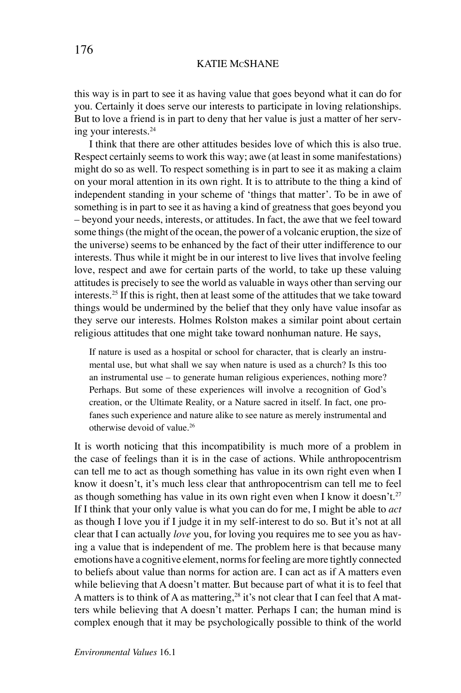this way is in part to see it as having value that goes beyond what it can do for you. Certainly it does serve our interests to participate in loving relationships. But to love a friend is in part to deny that her value is just a matter of her serving your interests.24

I think that there are other attitudes besides love of which this is also true. Respect certainly seems to work this way; awe (at least in some manifestations) might do so as well. To respect something is in part to see it as making a claim on your moral attention in its own right. It is to attribute to the thing a kind of independent standing in your scheme of ʻthings that matter'. To be in awe of something is in part to see it as having a kind of greatness that goes beyond you – beyond your needs, interests, or attitudes. In fact, the awe that we feel toward some things (the might of the ocean, the power of a volcanic eruption, the size of the universe) seems to be enhanced by the fact of their utter indifference to our interests. Thus while it might be in our interest to live lives that involve feeling love, respect and awe for certain parts of the world, to take up these valuing attitudes is precisely to see the world as valuable in ways other than serving our interests.25 If this is right, then at least some of the attitudes that we take toward things would be undermined by the belief that they only have value insofar as they serve our interests. Holmes Rolston makes a similar point about certain religious attitudes that one might take toward nonhuman nature. He says,

If nature is used as a hospital or school for character, that is clearly an instrumental use, but what shall we say when nature is used as a church? Is this too an instrumental use – to generate human religious experiences, nothing more? Perhaps. But some of these experiences will involve a recognition of God's creation, or the Ultimate Reality, or a Nature sacred in itself. In fact, one profanes such experience and nature alike to see nature as merely instrumental and otherwise devoid of value.26

It is worth noticing that this incompatibility is much more of a problem in the case of feelings than it is in the case of actions. While anthropocentrism can tell me to act as though something has value in its own right even when I know it doesn't, it's much less clear that anthropocentrism can tell me to feel as though something has value in its own right even when I know it doesn't.<sup>27</sup> If I think that your only value is what you can do for me, I might be able to *act* as though I love you if I judge it in my self-interest to do so. But it's not at all clear that I can actually *love* you, for loving you requires me to see you as having a value that is independent of me. The problem here is that because many emotions have a cognitive element, norms for feeling are more tightly connected to beliefs about value than norms for action are. I can act as if A matters even while believing that A doesn't matter. But because part of what it is to feel that A matters is to think of A as mattering,<sup>28</sup> it's not clear that I can feel that A matters while believing that A doesn't matter. Perhaps I can; the human mind is complex enough that it may be psychologically possible to think of the world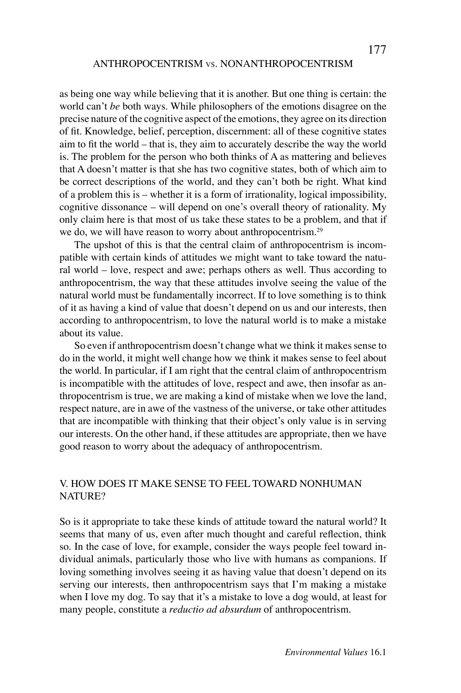as being one way while believing that it is another. But one thing is certain: the world can't *be* both ways. While philosophers of the emotions disagree on the precise nature of the cognitive aspect of the emotions, they agree on its direction of fit. Knowledge, belief, perception, discernment: all of these cognitive states aim to fit the world – that is, they aim to accurately describe the way the world is. The problem for the person who both thinks of A as mattering and believes that A doesn't matter is that she has two cognitive states, both of which aim to be correct descriptions of the world, and they can't both be right. What kind of a problem this is – whether it is a form of irrationality, logical impossibility, cognitive dissonance – will depend on one's overall theory of rationality. My only claim here is that most of us take these states to be a problem, and that if we do, we will have reason to worry about anthropocentrism.<sup>29</sup>

The upshot of this is that the central claim of anthropocentrism is incompatible with certain kinds of attitudes we might want to take toward the natural world – love, respect and awe; perhaps others as well. Thus according to anthropocentrism, the way that these attitudes involve seeing the value of the natural world must be fundamentally incorrect. If to love something is to think of it as having a kind of value that doesn't depend on us and our interests, then according to anthropocentrism, to love the natural world is to make a mistake about its value.

So even if anthropocentrism doesn't change what we think it makes sense to do in the world, it might well change how we think it makes sense to feel about the world. In particular, if I am right that the central claim of anthropocentrism is incompatible with the attitudes of love, respect and awe, then insofar as anthropocentrism is true, we are making a kind of mistake when we love the land, respect nature, are in awe of the vastness of the universe, or take other attitudes that are incompatible with thinking that their object's only value is in serving our interests. On the other hand, if these attitudes are appropriate, then we have good reason to worry about the adequacy of anthropocentrism.

## V. HOW DOES IT MAKE SENSE TO FEEL TOWARD NONHUMAN NATURE?

So is it appropriate to take these kinds of attitude toward the natural world? It seems that many of us, even after much thought and careful reflection, think so. In the case of love, for example, consider the ways people feel toward individual animals, particularly those who live with humans as companions. If loving something involves seeing it as having value that doesn't depend on its serving our interests, then anthropocentrism says that I'm making a mistake when I love my dog. To say that it's a mistake to love a dog would, at least for many people, constitute a *reductio ad absurdum* of anthropocentrism.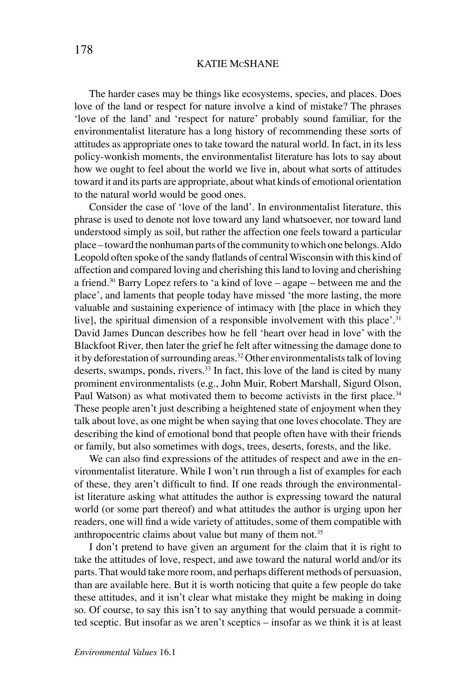The harder cases may be things like ecosystems, species, and places. Does love of the land or respect for nature involve a kind of mistake? The phrases ʻlove of the land' and ʻrespect for nature' probably sound familiar, for the environmentalist literature has a long history of recommending these sorts of attitudes as appropriate ones to take toward the natural world. In fact, in its less policy-wonkish moments, the environmentalist literature has lots to say about how we ought to feel about the world we live in, about what sorts of attitudes toward it and its parts are appropriate, about what kinds of emotional orientation to the natural world would be good ones.

Consider the case of ʻlove of the land'. In environmentalist literature, this phrase is used to denote not love toward any land whatsoever, nor toward land understood simply as soil, but rather the affection one feels toward a particular place – toward the nonhuman parts of the community to which one belongs. Aldo Leopold often spoke of the sandy flatlands of central Wisconsin with this kind of affection and compared loving and cherishing this land to loving and cherishing a friend.30 Barry Lopez refers to ʻa kind of love – agape – between me and the place', and laments that people today have missed ʻthe more lasting, the more valuable and sustaining experience of intimacy with [the place in which they live], the spiritual dimension of a responsible involvement with this place'.<sup>31</sup> David James Duncan describes how he fell ʻheart over head in love' with the Blackfoot River, then later the grief he felt after witnessing the damage done to it by deforestation of surrounding areas.<sup>32</sup> Other environmentalists talk of loving deserts, swamps, ponds, rivers. $3\overline{3}$  In fact, this love of the land is cited by many prominent environmentalists (e.g., John Muir, Robert Marshall, Sigurd Olson, Paul Watson) as what motivated them to become activists in the first place.<sup>34</sup> These people aren't just describing a heightened state of enjoyment when they talk about love, as one might be when saying that one loves chocolate. They are describing the kind of emotional bond that people often have with their friends or family, but also sometimes with dogs, trees, deserts, forests, and the like.

We can also find expressions of the attitudes of respect and awe in the environmentalist literature. While I won't run through a list of examples for each of these, they aren't difficult to find. If one reads through the environmentalist literature asking what attitudes the author is expressing toward the natural world (or some part thereof) and what attitudes the author is urging upon her readers, one will find a wide variety of attitudes, some of them compatible with anthropocentric claims about value but many of them not.35

I don't pretend to have given an argument for the claim that it is right to take the attitudes of love, respect, and awe toward the natural world and/or its parts. That would take more room, and perhaps different methods of persuasion, than are available here. But it is worth noticing that quite a few people do take these attitudes, and it isn't clear what mistake they might be making in doing so. Of course, to say this isn't to say anything that would persuade a committed sceptic. But insofar as we aren't sceptics – insofar as we think it is at least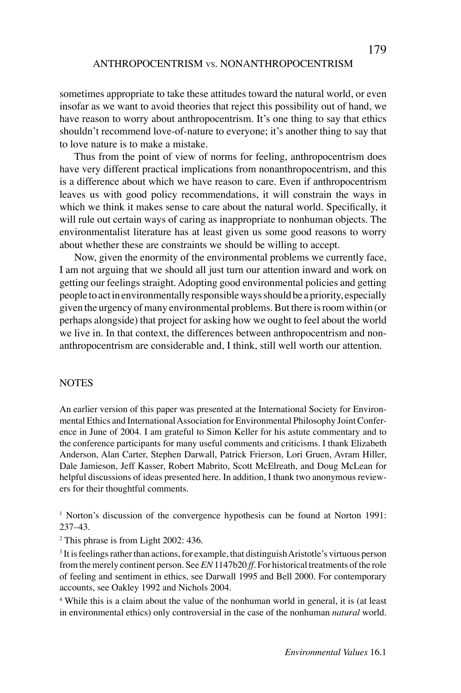sometimes appropriate to take these attitudes toward the natural world, or even insofar as we want to avoid theories that reject this possibility out of hand, we have reason to worry about anthropocentrism. It's one thing to say that ethics shouldn't recommend love-of-nature to everyone; it's another thing to say that to love nature is to make a mistake.

Thus from the point of view of norms for feeling, anthropocentrism does have very different practical implications from nonanthropocentrism, and this is a difference about which we have reason to care. Even if anthropocentrism leaves us with good policy recommendations, it will constrain the ways in which we think it makes sense to care about the natural world. Specifically, it will rule out certain ways of caring as inappropriate to nonhuman objects. The environmentalist literature has at least given us some good reasons to worry about whether these are constraints we should be willing to accept.

Now, given the enormity of the environmental problems we currently face, I am not arguing that we should all just turn our attention inward and work on getting our feelings straight. Adopting good environmental policies and getting people to act in environmentally responsible ways should be a priority, especially given the urgency of many environmental problems. But there is room within (or perhaps alongside) that project for asking how we ought to feel about the world we live in. In that context, the differences between anthropocentrism and nonanthropocentrism are considerable and, I think, still well worth our attention.

#### **NOTES**

An earlier version of this paper was presented at the International Society for Environmental Ethics and International Association for Environmental Philosophy Joint Conference in June of 2004. I am grateful to Simon Keller for his astute commentary and to the conference participants for many useful comments and criticisms. I thank Elizabeth Anderson, Alan Carter, Stephen Darwall, Patrick Frierson, Lori Gruen, Avram Hiller, Dale Jamieson, Jeff Kasser, Robert Mabrito, Scott McElreath, and Doug McLean for helpful discussions of ideas presented here. In addition, I thank two anonymous reviewers for their thoughtful comments.

<sup>1</sup> Norton's discussion of the convergence hypothesis can be found at Norton 1991: 237–43.

2 This phrase is from Light 2002: 436.

 $^3$  It is feelings rather than actions, for example, that distinguish Aristotle's virtuous person from the merely continent person. See *EN* 1147b20 *ff.* For historical treatments of the role of feeling and sentiment in ethics, see Darwall 1995 and Bell 2000. For contemporary accounts, see Oakley 1992 and Nichols 2004.

4 While this is a claim about the value of the nonhuman world in general, it is (at least in environmental ethics) only controversial in the case of the nonhuman *natural* world.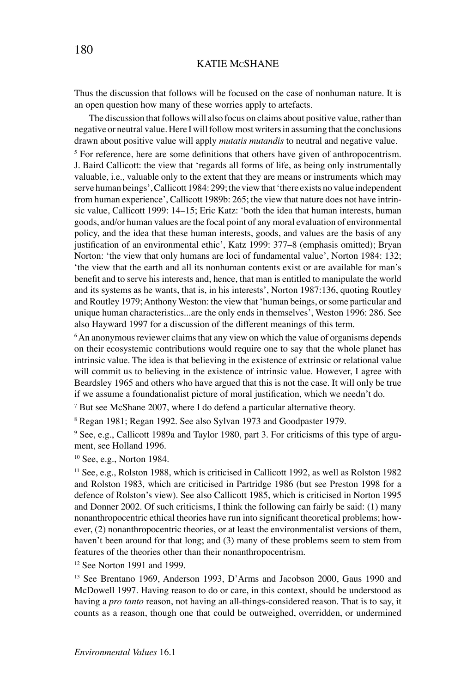Thus the discussion that follows will be focused on the case of nonhuman nature. It is an open question how many of these worries apply to artefacts.

 The discussion that follows will also focus on claims about positive value, rather than negative or neutral value. Here I will follow most writers in assuming that the conclusions drawn about positive value will apply *mutatis mutandis* to neutral and negative value.

<sup>5</sup> For reference, here are some definitions that others have given of anthropocentrism. J. Baird Callicott: the view that ʻregards all forms of life, as being only instrumentally valuable, i.e., valuable only to the extent that they are means or instruments which may serve human beings', Callicott 1984: 299; the view that ʻthere exists no value independent from human experience', Callicott 1989b: 265; the view that nature does not have intrinsic value, Callicott 1999: 14–15; Eric Katz: ʻboth the idea that human interests, human goods, and/or human values are the focal point of any moral evaluation of environmental policy, and the idea that these human interests, goods, and values are the basis of any justification of an environmental ethic', Katz 1999: 377–8 (emphasis omitted); Bryan Norton: ʻthe view that only humans are loci of fundamental value', Norton 1984: 132; ʻthe view that the earth and all its nonhuman contents exist or are available for man's benefit and to serve his interests and, hence, that man is entitled to manipulate the world and its systems as he wants, that is, in his interests', Norton 1987:136, quoting Routley and Routley 1979; Anthony Weston: the view that ʻhuman beings, or some particular and unique human characteristics...are the only ends in themselves', Weston 1996: 286. See also Hayward 1997 for a discussion of the different meanings of this term.

6 An anonymous reviewer claims that any view on which the value of organisms depends on their ecosystemic contributions would require one to say that the whole planet has intrinsic value. The idea is that believing in the existence of extrinsic or relational value will commit us to believing in the existence of intrinsic value. However, I agree with Beardsley 1965 and others who have argued that this is not the case. It will only be true if we assume a foundationalist picture of moral justification, which we needn't do.

7 But see McShane 2007, where I do defend a particular alternative theory.

8 Regan 1981; Regan 1992. See also Sylvan 1973 and Goodpaster 1979.

9 See, e.g., Callicott 1989a and Taylor 1980, part 3. For criticisms of this type of argument, see Holland 1996.

10 See, e.g., Norton 1984.

<sup>11</sup> See, e.g., Rolston 1988, which is criticised in Callicott 1992, as well as Rolston 1982 and Rolston 1983, which are criticised in Partridge 1986 (but see Preston 1998 for a defence of Rolston's view). See also Callicott 1985, which is criticised in Norton 1995 and Donner 2002. Of such criticisms, I think the following can fairly be said: (1) many nonanthropocentric ethical theories have run into significant theoretical problems; however, (2) nonanthropocentric theories, or at least the environmentalist versions of them, haven't been around for that long; and (3) many of these problems seem to stem from features of the theories other than their nonanthropocentrism.

<sup>12</sup> See Norton 1991 and 1999.

13 See Brentano 1969, Anderson 1993, D'Arms and Jacobson 2000, Gaus 1990 and McDowell 1997. Having reason to do or care, in this context, should be understood as having a *pro tanto* reason, not having an all-things-considered reason. That is to say, it counts as a reason, though one that could be outweighed, overridden, or undermined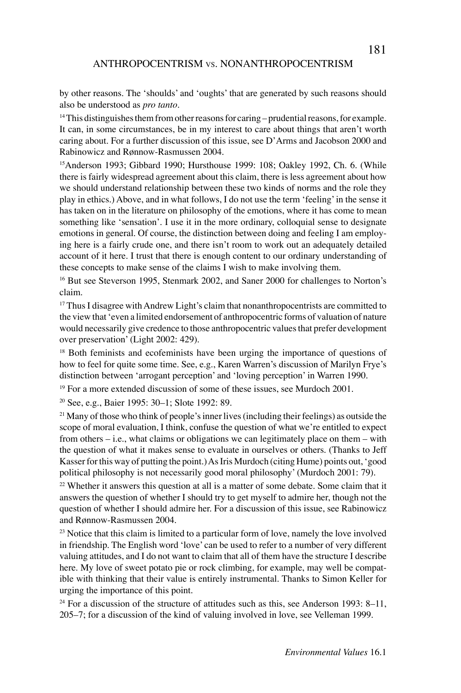by other reasons. The ʻshoulds' and ʻoughts' that are generated by such reasons should also be understood as *pro tanto*.

 $14$  This distinguishes them from other reasons for caring – prudential reasons, for example. It can, in some circumstances, be in my interest to care about things that aren't worth caring about. For a further discussion of this issue, see D'Arms and Jacobson 2000 and Rabinowicz and Rønnow-Rasmussen 2004.

15Anderson 1993; Gibbard 1990; Hursthouse 1999: 108; Oakley 1992, Ch. 6. (While there is fairly widespread agreement about this claim, there is less agreement about how we should understand relationship between these two kinds of norms and the role they play in ethics.) Above, and in what follows, I do not use the term ʻfeeling' in the sense it has taken on in the literature on philosophy of the emotions, where it has come to mean something like ʻsensation'. I use it in the more ordinary, colloquial sense to designate emotions in general. Of course, the distinction between doing and feeling I am employing here is a fairly crude one, and there isn't room to work out an adequately detailed account of it here. I trust that there is enough content to our ordinary understanding of these concepts to make sense of the claims I wish to make involving them.

<sup>16</sup> But see Steverson 1995, Stenmark 2002, and Saner 2000 for challenges to Norton's claim.

<sup>17</sup> Thus I disagree with Andrew Light's claim that nonanthropocentrists are committed to the view that ʻeven a limited endorsement of anthropocentric forms of valuation of nature would necessarily give credence to those anthropocentric values that prefer development over preservation' (Light 2002: 429).

<sup>18</sup> Both feminists and ecofeminists have been urging the importance of questions of how to feel for quite some time. See, e.g., Karen Warren's discussion of Marilyn Frye's distinction between ʻarrogant perception' and ʻloving perception' in Warren 1990.

 $19$  For a more extended discussion of some of these issues, see Murdoch 2001.

20 See, e.g., Baier 1995: 30–1; Slote 1992: 89.

<sup>21</sup> Many of those who think of people's inner lives (including their feelings) as outside the scope of moral evaluation, I think, confuse the question of what we're entitled to expect from others – i.e., what claims or obligations we can legitimately place on them – with the question of what it makes sense to evaluate in ourselves or others. (Thanks to Jeff Kasser for this way of putting the point.) As Iris Murdoch (citing Hume) points out, ʻgood political philosophy is not necessarily good moral philosophy' (Murdoch 2001: 79).

<sup>22</sup> Whether it answers this question at all is a matter of some debate. Some claim that it answers the question of whether I should try to get myself to admire her, though not the question of whether I should admire her. For a discussion of this issue, see Rabinowicz and Rønnow-Rasmussen 2004.

<sup>23</sup> Notice that this claim is limited to a particular form of love, namely the love involved in friendship. The English word ʻlove' can be used to refer to a number of very different valuing attitudes, and I do not want to claim that all of them have the structure I describe here. My love of sweet potato pie or rock climbing, for example, may well be compatible with thinking that their value is entirely instrumental. Thanks to Simon Keller for urging the importance of this point.

 $24$  For a discussion of the structure of attitudes such as this, see Anderson 1993: 8–11, 205–7; for a discussion of the kind of valuing involved in love, see Velleman 1999.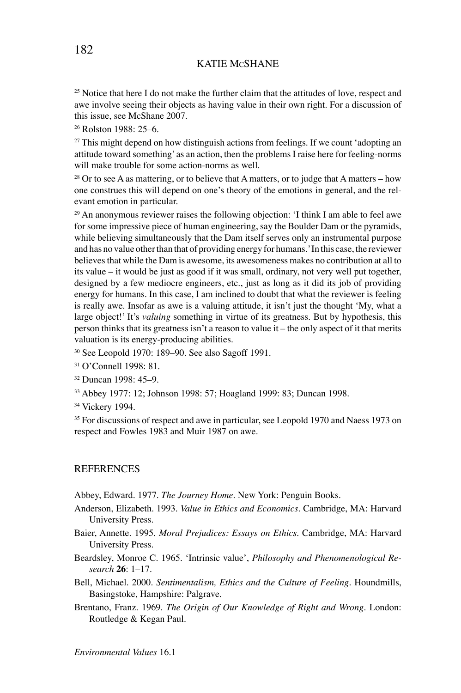<sup>25</sup> Notice that here I do not make the further claim that the attitudes of love, respect and awe involve seeing their objects as having value in their own right. For a discussion of this issue, see McShane 2007.

26 Rolston 1988: 25–6.

 $27$  This might depend on how distinguish actions from feelings. If we count 'adopting an attitude toward something' as an action, then the problems I raise here for feeling-norms will make trouble for some action-norms as well.

<sup>28</sup> Or to see A as mattering, or to believe that A matters, or to judge that A matters – how one construes this will depend on one's theory of the emotions in general, and the relevant emotion in particular.

 $29$  An anonymous reviewer raises the following objection: 'I think I am able to feel awe for some impressive piece of human engineering, say the Boulder Dam or the pyramids, while believing simultaneously that the Dam itself serves only an instrumental purpose and has no value other than that of providing energy for humans.' In this case, the reviewer believes that while the Dam is awesome, its awesomeness makes no contribution at all to its value – it would be just as good if it was small, ordinary, not very well put together, designed by a few mediocre engineers, etc., just as long as it did its job of providing energy for humans. In this case, I am inclined to doubt that what the reviewer is feeling is really awe. Insofar as awe is a valuing attitude, it isn't just the thought ʻMy, what a large object!' It's *valuing* something in virtue of its greatness. But by hypothesis, this person thinks that its greatness isn't a reason to value it – the only aspect of it that merits valuation is its energy-producing abilities.

30 See Leopold 1970: 189–90. See also Sagoff 1991.

- 31 O'Connell 1998: 81.
- 32 Duncan 1998: 45–9.
- 33 Abbey 1977: 12; Johnson 1998: 57; Hoagland 1999: 83; Duncan 1998.
- 34 Vickery 1994.

<sup>35</sup> For discussions of respect and awe in particular, see Leopold 1970 and Naess 1973 on respect and Fowles 1983 and Muir 1987 on awe.

## **REFERENCES**

Abbey, Edward. 1977. *The Journey Home*. New York: Penguin Books.

- Anderson, Elizabeth. 1993. *Value in Ethics and Economics*. Cambridge, MA: Harvard University Press.
- Baier, Annette. 1995. *Moral Prejudices: Essays on Ethics*. Cambridge, MA: Harvard University Press.
- Beardsley, Monroe C. 1965. ʻIntrinsic value', *Philosophy and Phenomenological Research* **26**: 1–17.
- Bell, Michael. 2000. *Sentimentalism, Ethics and the Culture of Feeling*. Houndmills, Basingstoke, Hampshire: Palgrave.
- Brentano, Franz. 1969. *The Origin of Our Knowledge of Right and Wrong*. London: Routledge & Kegan Paul.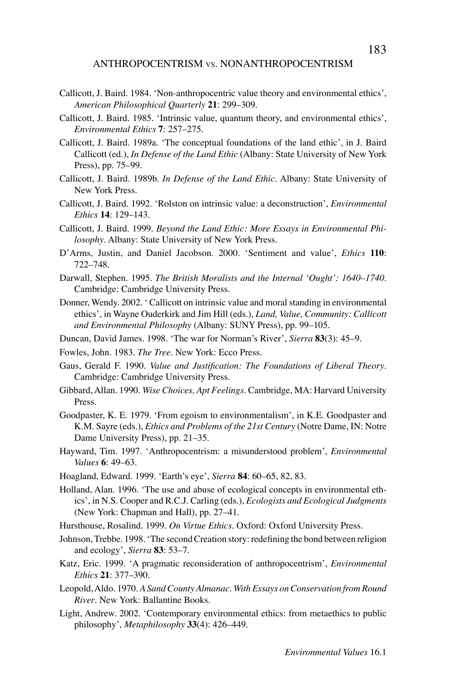- Callicott, J. Baird. 1984. ʻNon-anthropocentric value theory and environmental ethics', *American Philosophical Quarterly* **21**: 299–309.
- Callicott, J. Baird. 1985. ʻIntrinsic value, quantum theory, and environmental ethics', *Environmental Ethics* **7**: 257–275.
- Callicott, J. Baird. 1989a. ʻThe conceptual foundations of the land ethic', in J. Baird Callicott (ed.), *In Defense of the Land Ethic* (Albany: State University of New York Press), pp. 75–99.
- Callicott, J. Baird. 1989b. *In Defense of the Land Ethic*. Albany: State University of New York Press.
- Callicott, J. Baird. 1992. ʻRolston on intrinsic value: a deconstruction', *Environmental Ethics* **14**: 129–143.
- Callicott, J. Baird. 1999. *Beyond the Land Ethic: More Essays in Environmental Philosophy*. Albany: State University of New York Press.
- D'Arms, Justin, and Daniel Jacobson. 2000. ʻSentiment and value', *Ethics* **110**: 722–748.
- Darwall, Stephen. 1995. *The British Moralists and the Internal ʻOught': 1640–1740*. Cambridge: Cambridge University Press.
- Donner, Wendy. 2002. ʻ Callicott on intrinsic value and moral standing in environmental ethics', in Wayne Ouderkirk and Jim Hill (eds.), *Land, Value, Community: Callicott and Environmental Philosophy* (Albany: SUNY Press), pp*.* 99–105.
- Duncan, David James. 1998. ʻThe war for Norman's River', *Sierra* **83**(3): 45–9.
- Fowles, John. 1983. *The Tree*. New York: Ecco Press.
- Gaus, Gerald F. 1990. *Value and Justification: The Foundations of Liberal Theory*. Cambridge: Cambridge University Press.
- Gibbard, Allan. 1990. *Wise Choices, Apt Feelings*. Cambridge, MA: Harvard University Press.
- Goodpaster, K. E. 1979. ʻFrom egoism to environmentalism', in K.E. Goodpaster and K.M. Sayre (eds.), *Ethics and Problems of the 21st Century* (Notre Dame, IN: Notre Dame University Press), pp*.* 21–35.
- Hayward, Tim. 1997. ʻAnthropocentrism: a misunderstood problem', *Environmental Values* **6**: 49–63.
- Hoagland, Edward. 1999. ʻEarth's eye', *Sierra* **84**: 60–65, 82, 83.
- Holland, Alan. 1996. ʻThe use and abuse of ecological concepts in environmental ethics', in N.S. Cooper and R.C.J. Carling (eds.), *Ecologists and Ecological Judgments* (New York: Chapman and Hall), pp*.* 27–41.
- Hursthouse, Rosalind. 1999. *On Virtue Ethics*. Oxford: Oxford University Press.
- Johnson, Trebbe. 1998. ʻThe second Creation story: redefining the bond between religion and ecology', *Sierra* **83**: 53–7.
- Katz, Eric. 1999. ʻA pragmatic reconsideration of anthropocentrism', *Environmental Ethics* **21**: 377–390.
- Leopold, Aldo. 1970. *A Sand County Almanac. With Essays on Conservation from Round River*. New York: Ballantine Books.
- Light, Andrew. 2002. ʻContemporary environmental ethics: from metaethics to public philosophy', *Metaphilosophy* **33**(4): 426–449.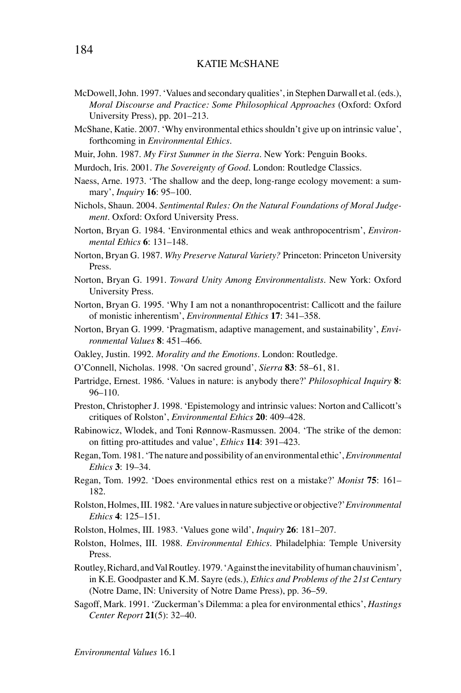- McDowell, John. 1997. ʻValues and secondary qualities', in Stephen Darwall et al. (eds.), *Moral Discourse and Practice: Some Philosophical Approaches* (Oxford: Oxford University Press), pp. 201–213.
- McShane, Katie. 2007. ʻWhy environmental ethics shouldn't give up on intrinsic value', forthcoming in *Environmental Ethics*.
- Muir, John. 1987. *My First Summer in the Sierra*. New York: Penguin Books.
- Murdoch, Iris. 2001. *The Sovereignty of Good*. London: Routledge Classics.
- Naess, Arne. 1973. ʻThe shallow and the deep, long-range ecology movement: a summary', *Inquiry* **16**: 95–100.
- Nichols, Shaun. 2004. *Sentimental Rules: On the Natural Foundations of Moral Judgement*. Oxford: Oxford University Press.
- Norton, Bryan G. 1984. ʻEnvironmental ethics and weak anthropocentrism', *Environmental Ethics* **6**: 131–148.
- Norton, Bryan G. 1987. *Why Preserve Natural Variety?* Princeton: Princeton University Press.
- Norton, Bryan G. 1991. *Toward Unity Among Environmentalists*. New York: Oxford University Press.
- Norton, Bryan G. 1995. ʻWhy I am not a nonanthropocentrist: Callicott and the failure of monistic inherentism', *Environmental Ethics* **17**: 341–358.
- Norton, Bryan G. 1999. ʻPragmatism, adaptive management, and sustainability', *Environmental Values* **8**: 451–466.
- Oakley, Justin. 1992. *Morality and the Emotions*. London: Routledge.
- O'Connell, Nicholas. 1998. ʻOn sacred ground', *Sierra* **83**: 58–61, 81.
- Partridge, Ernest. 1986. ʻValues in nature: is anybody there?' *Philosophical Inquiry* **8**: 96–110.
- Preston, Christopher J. 1998. ʻEpistemology and intrinsic values: Norton and Callicott's critiques of Rolston', *Environmental Ethics* **20**: 409–428.
- Rabinowicz, Wlodek, and Toni Rønnow-Rasmussen. 2004. ʻThe strike of the demon: on fitting pro-attitudes and value', *Ethics* **114**: 391–423.
- Regan, Tom. 1981. ʻThe nature and possibility of an environmental ethic', *Environmental Ethics* **3**: 19–34.
- Regan, Tom. 1992. ʻDoes environmental ethics rest on a mistake?' *Monist* **75**: 161– 182.
- Rolston, Holmes, III. 1982. ʻAre values in nature subjective or objective?' *Environmental Ethics* **4**: 125–151.
- Rolston, Holmes, III. 1983. ʻValues gone wild', *Inquiry* **26**: 181–207.
- Rolston, Holmes, III. 1988. *Environmental Ethics*. Philadelphia: Temple University Press.
- Routley, Richard, and Val Routley. 1979. ʻAgainst the inevitability of human chauvinism', in K.E. Goodpaster and K.M. Sayre (eds.), *Ethics and Problems of the 21st Century* (Notre Dame, IN: University of Notre Dame Press), pp*.* 36–59.
- Sagoff, Mark. 1991. ʻZuckerman's Dilemma: a plea for environmental ethics', *Hastings Center Report* **21**(5): 32–40.